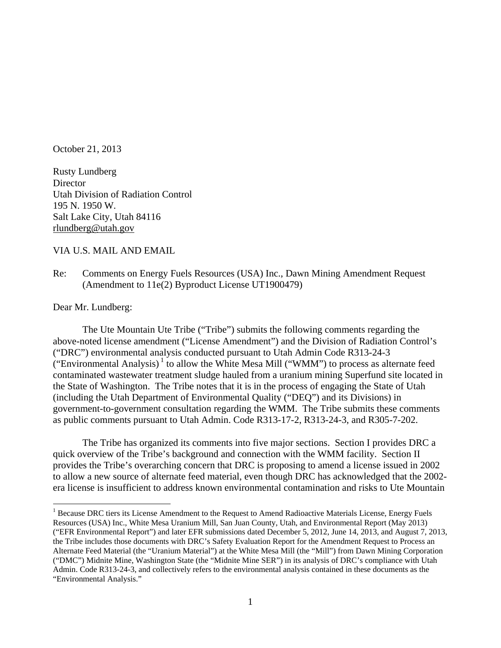October 21, 2013

Rusty Lundberg **Director** Utah Division of Radiation Control 195 N. 1950 W. Salt Lake City, Utah 84116 rlundberg@utah.gov

VIA U.S. MAIL AND EMAIL

Re: Comments on Energy Fuels Resources (USA) Inc., Dawn Mining Amendment Request (Amendment to 11e(2) Byproduct License UT1900479)

Dear Mr. Lundberg:

 $\overline{a}$ 

 The Ute Mountain Ute Tribe ("Tribe") submits the following comments regarding the above-noted license amendment ("License Amendment") and the Division of Radiation Control's ("DRC") environmental analysis conducted pursuant to Utah Admin Code R313-24-3 ("Environmental Analysis) $1$  to allow the White Mesa Mill ("WMM") to process as alternate feed contaminated wastewater treatment sludge hauled from a uranium mining Superfund site located in the State of Washington. The Tribe notes that it is in the process of engaging the State of Utah (including the Utah Department of Environmental Quality ("DEQ") and its Divisions) in government-to-government consultation regarding the WMM. The Tribe submits these comments as public comments pursuant to Utah Admin. Code R313-17-2, R313-24-3, and R305-7-202.

 The Tribe has organized its comments into five major sections. Section I provides DRC a quick overview of the Tribe's background and connection with the WMM facility. Section II provides the Tribe's overarching concern that DRC is proposing to amend a license issued in 2002 to allow a new source of alternate feed material, even though DRC has acknowledged that the 2002 era license is insufficient to address known environmental contamination and risks to Ute Mountain

<sup>&</sup>lt;sup>1</sup> Because DRC tiers its License Amendment to the Request to Amend Radioactive Materials License, Energy Fuels Resources (USA) Inc., White Mesa Uranium Mill, San Juan County, Utah, and Environmental Report (May 2013) ("EFR Environmental Report") and later EFR submissions dated December 5, 2012, June 14, 2013, and August 7, 2013, the Tribe includes those documents with DRC's Safety Evaluation Report for the Amendment Request to Process an Alternate Feed Material (the "Uranium Material") at the White Mesa Mill (the "Mill") from Dawn Mining Corporation ("DMC") Midnite Mine, Washington State (the "Midnite Mine SER") in its analysis of DRC's compliance with Utah Admin. Code R313-24-3, and collectively refers to the environmental analysis contained in these documents as the "Environmental Analysis."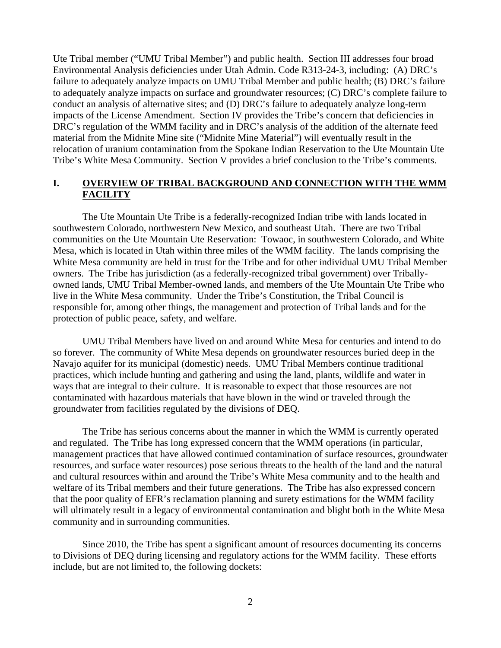Ute Tribal member ("UMU Tribal Member") and public health. Section III addresses four broad Environmental Analysis deficiencies under Utah Admin. Code R313-24-3, including: (A) DRC's failure to adequately analyze impacts on UMU Tribal Member and public health; (B) DRC's failure to adequately analyze impacts on surface and groundwater resources; (C) DRC's complete failure to conduct an analysis of alternative sites; and (D) DRC's failure to adequately analyze long-term impacts of the License Amendment. Section IV provides the Tribe's concern that deficiencies in DRC's regulation of the WMM facility and in DRC's analysis of the addition of the alternate feed material from the Midnite Mine site ("Midnite Mine Material") will eventually result in the relocation of uranium contamination from the Spokane Indian Reservation to the Ute Mountain Ute Tribe's White Mesa Community. Section V provides a brief conclusion to the Tribe's comments.

#### I. OVERVIEW OF TRIBAL BACKGROUND AND CONNECTION WITH THE WMM **FACILITY**

The Ute Mountain Ute Tribe is a federally-recognized Indian tribe with lands located in southwestern Colorado, northwestern New Mexico, and southeast Utah. There are two Tribal communities on the Ute Mountain Ute Reservation: Towaoc, in southwestern Colorado, and White Mesa, which is located in Utah within three miles of the WMM facility. The lands comprising the White Mesa community are held in trust for the Tribe and for other individual UMU Tribal Member owners. The Tribe has jurisdiction (as a federally-recognized tribal government) over Triballyowned lands, UMU Tribal Member-owned lands, and members of the Ute Mountain Ute Tribe who live in the White Mesa community. Under the Tribe's Constitution, the Tribal Council is responsible for, among other things, the management and protection of Tribal lands and for the protection of public peace, safety, and welfare.

UMU Tribal Members have lived on and around White Mesa for centuries and intend to do so forever. The community of White Mesa depends on groundwater resources buried deep in the Navajo aquifer for its municipal (domestic) needs. UMU Tribal Members continue traditional practices, which include hunting and gathering and using the land, plants, wildlife and water in ways that are integral to their culture. It is reasonable to expect that those resources are not contaminated with hazardous materials that have blown in the wind or traveled through the groundwater from facilities regulated by the divisions of DEQ.

 The Tribe has serious concerns about the manner in which the WMM is currently operated and regulated. The Tribe has long expressed concern that the WMM operations (in particular, management practices that have allowed continued contamination of surface resources, groundwater resources, and surface water resources) pose serious threats to the health of the land and the natural and cultural resources within and around the Tribe's White Mesa community and to the health and welfare of its Tribal members and their future generations. The Tribe has also expressed concern that the poor quality of EFR's reclamation planning and surety estimations for the WMM facility will ultimately result in a legacy of environmental contamination and blight both in the White Mesa community and in surrounding communities.

 Since 2010, the Tribe has spent a significant amount of resources documenting its concerns to Divisions of DEQ during licensing and regulatory actions for the WMM facility. These efforts include, but are not limited to, the following dockets: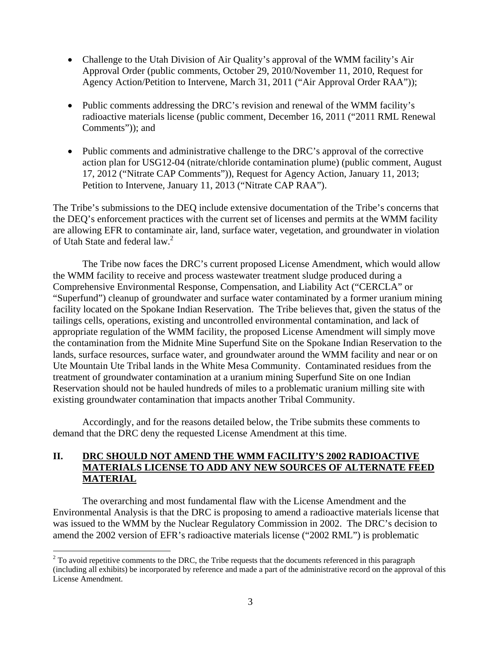- Challenge to the Utah Division of Air Quality's approval of the WMM facility's Air Approval Order (public comments, October 29, 2010/November 11, 2010, Request for Agency Action/Petition to Intervene, March 31, 2011 ("Air Approval Order RAA"));
- Public comments addressing the DRC's revision and renewal of the WMM facility's radioactive materials license (public comment, December 16, 2011 ("2011 RML Renewal Comments")); and
- Public comments and administrative challenge to the DRC's approval of the corrective action plan for USG12-04 (nitrate/chloride contamination plume) (public comment, August 17, 2012 ("Nitrate CAP Comments")), Request for Agency Action, January 11, 2013; Petition to Intervene, January 11, 2013 ("Nitrate CAP RAA").

The Tribe's submissions to the DEQ include extensive documentation of the Tribe's concerns that the DEQ's enforcement practices with the current set of licenses and permits at the WMM facility are allowing EFR to contaminate air, land, surface water, vegetation, and groundwater in violation of Utah State and federal law.<sup>2</sup>

 The Tribe now faces the DRC's current proposed License Amendment, which would allow the WMM facility to receive and process wastewater treatment sludge produced during a Comprehensive Environmental Response, Compensation, and Liability Act ("CERCLA" or "Superfund") cleanup of groundwater and surface water contaminated by a former uranium mining facility located on the Spokane Indian Reservation. The Tribe believes that, given the status of the tailings cells, operations, existing and uncontrolled environmental contamination, and lack of appropriate regulation of the WMM facility, the proposed License Amendment will simply move the contamination from the Midnite Mine Superfund Site on the Spokane Indian Reservation to the lands, surface resources, surface water, and groundwater around the WMM facility and near or on Ute Mountain Ute Tribal lands in the White Mesa Community. Contaminated residues from the treatment of groundwater contamination at a uranium mining Superfund Site on one Indian Reservation should not be hauled hundreds of miles to a problematic uranium milling site with existing groundwater contamination that impacts another Tribal Community.

 Accordingly, and for the reasons detailed below, the Tribe submits these comments to demand that the DRC deny the requested License Amendment at this time.

# **II. DRC SHOULD NOT AMEND THE WMM FACILITY'S 2002 RADIOACTIVE MATERIALS LICENSE TO ADD ANY NEW SOURCES OF ALTERNATE FEED MATERIAL**

The overarching and most fundamental flaw with the License Amendment and the Environmental Analysis is that the DRC is proposing to amend a radioactive materials license that was issued to the WMM by the Nuclear Regulatory Commission in 2002. The DRC's decision to amend the 2002 version of EFR's radioactive materials license ("2002 RML") is problematic

<sup>&</sup>lt;sup>2</sup> To avoid repetitive comments to the DRC, the Tribe requests that the documents referenced in this paragraph (including all exhibits) be incorporated by reference and made a part of the administrative record on the approval of this License Amendment.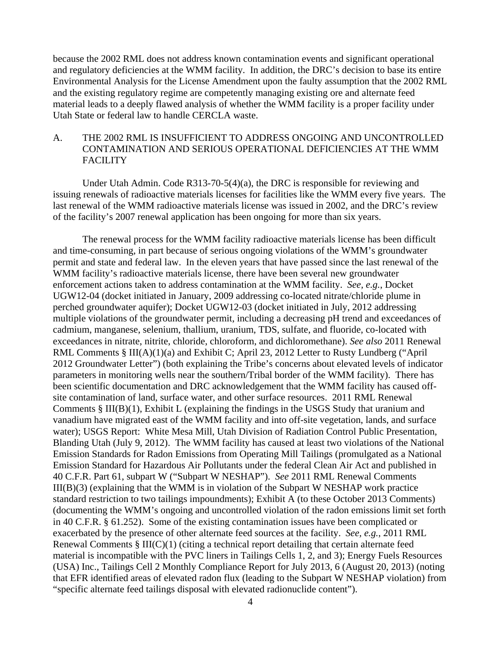because the 2002 RML does not address known contamination events and significant operational and regulatory deficiencies at the WMM facility. In addition, the DRC's decision to base its entire Environmental Analysis for the License Amendment upon the faulty assumption that the 2002 RML and the existing regulatory regime are competently managing existing ore and alternate feed material leads to a deeply flawed analysis of whether the WMM facility is a proper facility under Utah State or federal law to handle CERCLA waste.

### A. THE 2002 RML IS INSUFFICIENT TO ADDRESS ONGOING AND UNCONTROLLED CONTAMINATION AND SERIOUS OPERATIONAL DEFICIENCIES AT THE WMM **FACILITY**

 Under Utah Admin. Code R313-70-5(4)(a), the DRC is responsible for reviewing and issuing renewals of radioactive materials licenses for facilities like the WMM every five years. The last renewal of the WMM radioactive materials license was issued in 2002, and the DRC's review of the facility's 2007 renewal application has been ongoing for more than six years.

The renewal process for the WMM facility radioactive materials license has been difficult and time-consuming, in part because of serious ongoing violations of the WMM's groundwater permit and state and federal law. In the eleven years that have passed since the last renewal of the WMM facility's radioactive materials license, there have been several new groundwater enforcement actions taken to address contamination at the WMM facility. *See, e.g.*, Docket UGW12-04 (docket initiated in January, 2009 addressing co-located nitrate/chloride plume in perched groundwater aquifer); Docket UGW12-03 (docket initiated in July, 2012 addressing multiple violations of the groundwater permit, including a decreasing pH trend and exceedances of cadmium, manganese, selenium, thallium, uranium, TDS, sulfate, and fluoride, co-located with exceedances in nitrate, nitrite, chloride, chloroform, and dichloromethane). *See also* 2011 Renewal RML Comments § III(A)(1)(a) and Exhibit C; April 23, 2012 Letter to Rusty Lundberg ("April 2012 Groundwater Letter") (both explaining the Tribe's concerns about elevated levels of indicator parameters in monitoring wells near the southern/Tribal border of the WMM facility). There has been scientific documentation and DRC acknowledgement that the WMM facility has caused offsite contamination of land, surface water, and other surface resources. 2011 RML Renewal Comments § III(B)(1), Exhibit L (explaining the findings in the USGS Study that uranium and vanadium have migrated east of the WMM facility and into off-site vegetation, lands, and surface water); USGS Report: White Mesa Mill, Utah Division of Radiation Control Public Presentation, Blanding Utah (July 9, 2012). The WMM facility has caused at least two violations of the National Emission Standards for Radon Emissions from Operating Mill Tailings (promulgated as a National Emission Standard for Hazardous Air Pollutants under the federal Clean Air Act and published in 40 C.F.R. Part 61, subpart W ("Subpart W NESHAP"). *See* 2011 RML Renewal Comments III(B)(3) (explaining that the WMM is in violation of the Subpart W NESHAP work practice standard restriction to two tailings impoundments); Exhibit A (to these October 2013 Comments) (documenting the WMM's ongoing and uncontrolled violation of the radon emissions limit set forth in 40 C.F.R. § 61.252). Some of the existing contamination issues have been complicated or exacerbated by the presence of other alternate feed sources at the facility. *See, e.g.*, 2011 RML Renewal Comments § III(C)(1) (citing a technical report detailing that certain alternate feed material is incompatible with the PVC liners in Tailings Cells 1, 2, and 3); Energy Fuels Resources (USA) Inc., Tailings Cell 2 Monthly Compliance Report for July 2013, 6 (August 20, 2013) (noting that EFR identified areas of elevated radon flux (leading to the Subpart W NESHAP violation) from "specific alternate feed tailings disposal with elevated radionuclide content").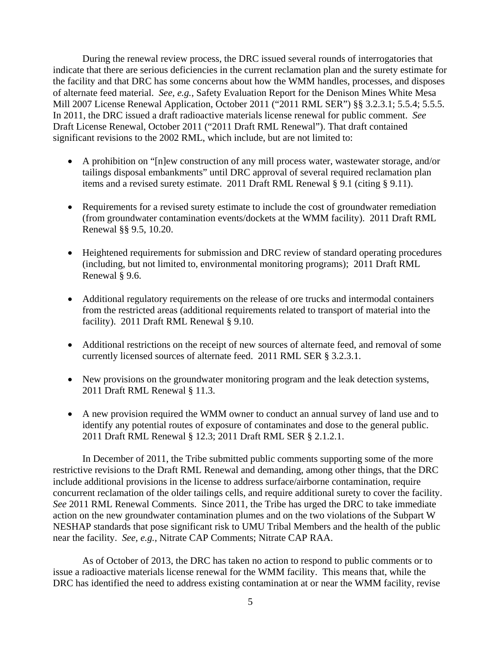During the renewal review process, the DRC issued several rounds of interrogatories that indicate that there are serious deficiencies in the current reclamation plan and the surety estimate for the facility and that DRC has some concerns about how the WMM handles, processes, and disposes of alternate feed material. *See, e.g.*, Safety Evaluation Report for the Denison Mines White Mesa Mill 2007 License Renewal Application, October 2011 ("2011 RML SER") §§ 3.2.3.1; 5.5.4; 5.5.5. In 2011, the DRC issued a draft radioactive materials license renewal for public comment. *See* Draft License Renewal, October 2011 ("2011 Draft RML Renewal"). That draft contained significant revisions to the 2002 RML, which include, but are not limited to:

- A prohibition on "[n]ew construction of any mill process water, wastewater storage, and/or tailings disposal embankments" until DRC approval of several required reclamation plan items and a revised surety estimate. 2011 Draft RML Renewal § 9.1 (citing § 9.11).
- Requirements for a revised surety estimate to include the cost of groundwater remediation (from groundwater contamination events/dockets at the WMM facility). 2011 Draft RML Renewal §§ 9.5, 10.20.
- Heightened requirements for submission and DRC review of standard operating procedures (including, but not limited to, environmental monitoring programs); 2011 Draft RML Renewal § 9.6.
- Additional regulatory requirements on the release of ore trucks and intermodal containers from the restricted areas (additional requirements related to transport of material into the facility). 2011 Draft RML Renewal § 9.10.
- Additional restrictions on the receipt of new sources of alternate feed, and removal of some currently licensed sources of alternate feed. 2011 RML SER § 3.2.3.1.
- New provisions on the groundwater monitoring program and the leak detection systems, 2011 Draft RML Renewal § 11.3.
- A new provision required the WMM owner to conduct an annual survey of land use and to identify any potential routes of exposure of contaminates and dose to the general public. 2011 Draft RML Renewal § 12.3; 2011 Draft RML SER § 2.1.2.1.

In December of 2011, the Tribe submitted public comments supporting some of the more restrictive revisions to the Draft RML Renewal and demanding, among other things, that the DRC include additional provisions in the license to address surface/airborne contamination, require concurrent reclamation of the older tailings cells, and require additional surety to cover the facility. *See* 2011 RML Renewal Comments. Since 2011, the Tribe has urged the DRC to take immediate action on the new groundwater contamination plumes and on the two violations of the Subpart W NESHAP standards that pose significant risk to UMU Tribal Members and the health of the public near the facility. *See, e.g.*, Nitrate CAP Comments; Nitrate CAP RAA.

As of October of 2013, the DRC has taken no action to respond to public comments or to issue a radioactive materials license renewal for the WMM facility. This means that, while the DRC has identified the need to address existing contamination at or near the WMM facility, revise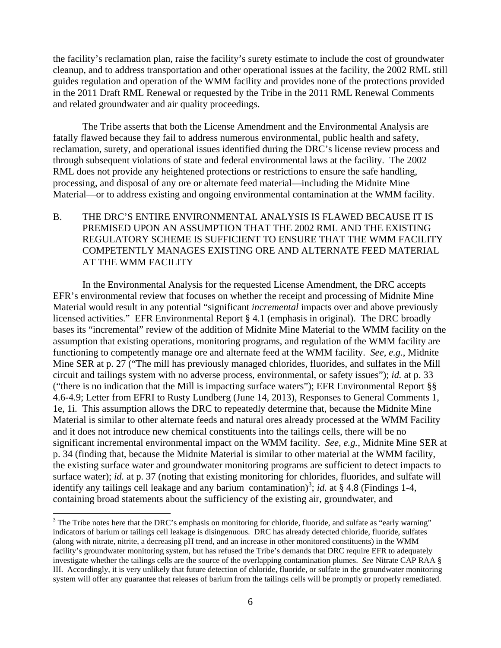the facility's reclamation plan, raise the facility's surety estimate to include the cost of groundwater cleanup, and to address transportation and other operational issues at the facility, the 2002 RML still guides regulation and operation of the WMM facility and provides none of the protections provided in the 2011 Draft RML Renewal or requested by the Tribe in the 2011 RML Renewal Comments and related groundwater and air quality proceedings.

 The Tribe asserts that both the License Amendment and the Environmental Analysis are fatally flawed because they fail to address numerous environmental, public health and safety, reclamation, surety, and operational issues identified during the DRC's license review process and through subsequent violations of state and federal environmental laws at the facility. The 2002 RML does not provide any heightened protections or restrictions to ensure the safe handling, processing, and disposal of any ore or alternate feed material—including the Midnite Mine Material—or to address existing and ongoing environmental contamination at the WMM facility.

# B. THE DRC'S ENTIRE ENVIRONMENTAL ANALYSIS IS FLAWED BECAUSE IT IS PREMISED UPON AN ASSUMPTION THAT THE 2002 RML AND THE EXISTING REGULATORY SCHEME IS SUFFICIENT TO ENSURE THAT THE WMM FACILITY COMPETENTLY MANAGES EXISTING ORE AND ALTERNATE FEED MATERIAL AT THE WMM FACILITY

 In the Environmental Analysis for the requested License Amendment, the DRC accepts EFR's environmental review that focuses on whether the receipt and processing of Midnite Mine Material would result in any potential "significant *incremental* impacts over and above previously licensed activities." EFR Environmental Report § 4.1 (emphasis in original). The DRC broadly bases its "incremental" review of the addition of Midnite Mine Material to the WMM facility on the assumption that existing operations, monitoring programs, and regulation of the WMM facility are functioning to competently manage ore and alternate feed at the WMM facility. *See, e.g.*, Midnite Mine SER at p. 27 ("The mill has previously managed chlorides, fluorides, and sulfates in the Mill circuit and tailings system with no adverse process, environmental, or safety issues"); *id.* at p. 33 ("there is no indication that the Mill is impacting surface waters"); EFR Environmental Report §§ 4.6-4.9; Letter from EFRI to Rusty Lundberg (June 14, 2013), Responses to General Comments 1, 1e, 1i. This assumption allows the DRC to repeatedly determine that, because the Midnite Mine Material is similar to other alternate feeds and natural ores already processed at the WMM Facility and it does not introduce new chemical constituents into the tailings cells, there will be no significant incremental environmental impact on the WMM facility. *See, e.g.*, Midnite Mine SER at p. 34 (finding that, because the Midnite Material is similar to other material at the WMM facility, the existing surface water and groundwater monitoring programs are sufficient to detect impacts to surface water); *id.* at p. 37 (noting that existing monitoring for chlorides, fluorides, and sulfate will identify any tailings cell leakage and any barium contamination)<sup>3</sup>; *id.* at § 4.8 (Findings 1-4, containing broad statements about the sufficiency of the existing air, groundwater, and

 $3$  The Tribe notes here that the DRC's emphasis on monitoring for chloride, fluoride, and sulfate as "early warning" indicators of barium or tailings cell leakage is disingenuous. DRC has already detected chloride, fluoride, sulfates (along with nitrate, nitrite, a decreasing pH trend, and an increase in other monitored constituents) in the WMM facility's groundwater monitoring system, but has refused the Tribe's demands that DRC require EFR to adequately investigate whether the tailings cells are the source of the overlapping contamination plumes. *See* Nitrate CAP RAA § III. Accordingly, it is very unlikely that future detection of chloride, fluoride, or sulfate in the groundwater monitoring system will offer any guarantee that releases of barium from the tailings cells will be promptly or properly remediated.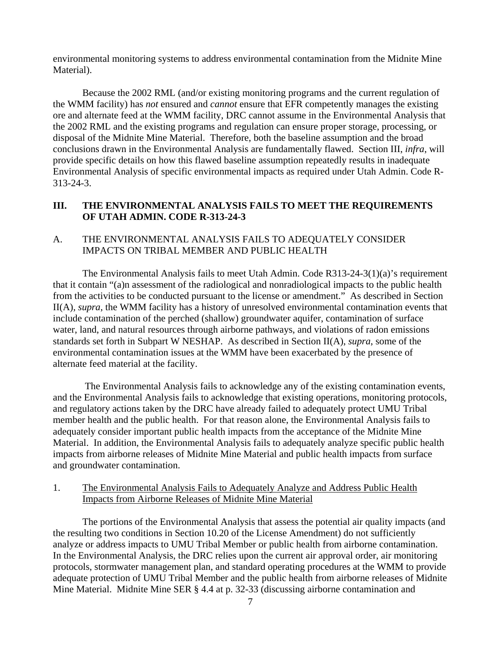environmental monitoring systems to address environmental contamination from the Midnite Mine Material).

Because the 2002 RML (and/or existing monitoring programs and the current regulation of the WMM facility) has *not* ensured and *cannot* ensure that EFR competently manages the existing ore and alternate feed at the WMM facility, DRC cannot assume in the Environmental Analysis that the 2002 RML and the existing programs and regulation can ensure proper storage, processing, or disposal of the Midnite Mine Material. Therefore, both the baseline assumption and the broad conclusions drawn in the Environmental Analysis are fundamentally flawed. Section III, *infra*, will provide specific details on how this flawed baseline assumption repeatedly results in inadequate Environmental Analysis of specific environmental impacts as required under Utah Admin. Code R-313-24-3.

# **III. THE ENVIRONMENTAL ANALYSIS FAILS TO MEET THE REQUIREMENTS OF UTAH ADMIN. CODE R-313-24-3**

### A. THE ENVIRONMENTAL ANALYSIS FAILS TO ADEQUATELY CONSIDER IMPACTS ON TRIBAL MEMBER AND PUBLIC HEALTH

The Environmental Analysis fails to meet Utah Admin. Code R313-24-3(1)(a)'s requirement that it contain "(a)n assessment of the radiological and nonradiological impacts to the public health from the activities to be conducted pursuant to the license or amendment." As described in Section II(A), *supra*, the WMM facility has a history of unresolved environmental contamination events that include contamination of the perched (shallow) groundwater aquifer, contamination of surface water, land, and natural resources through airborne pathways, and violations of radon emissions standards set forth in Subpart W NESHAP. As described in Section II(A), *supra*, some of the environmental contamination issues at the WMM have been exacerbated by the presence of alternate feed material at the facility.

 The Environmental Analysis fails to acknowledge any of the existing contamination events, and the Environmental Analysis fails to acknowledge that existing operations, monitoring protocols, and regulatory actions taken by the DRC have already failed to adequately protect UMU Tribal member health and the public health. For that reason alone, the Environmental Analysis fails to adequately consider important public health impacts from the acceptance of the Midnite Mine Material. In addition, the Environmental Analysis fails to adequately analyze specific public health impacts from airborne releases of Midnite Mine Material and public health impacts from surface and groundwater contamination.

## 1. The Environmental Analysis Fails to Adequately Analyze and Address Public Health Impacts from Airborne Releases of Midnite Mine Material

 The portions of the Environmental Analysis that assess the potential air quality impacts (and the resulting two conditions in Section 10.20 of the License Amendment) do not sufficiently analyze or address impacts to UMU Tribal Member or public health from airborne contamination. In the Environmental Analysis, the DRC relies upon the current air approval order, air monitoring protocols, stormwater management plan, and standard operating procedures at the WMM to provide adequate protection of UMU Tribal Member and the public health from airborne releases of Midnite Mine Material. Midnite Mine SER § 4.4 at p. 32-33 (discussing airborne contamination and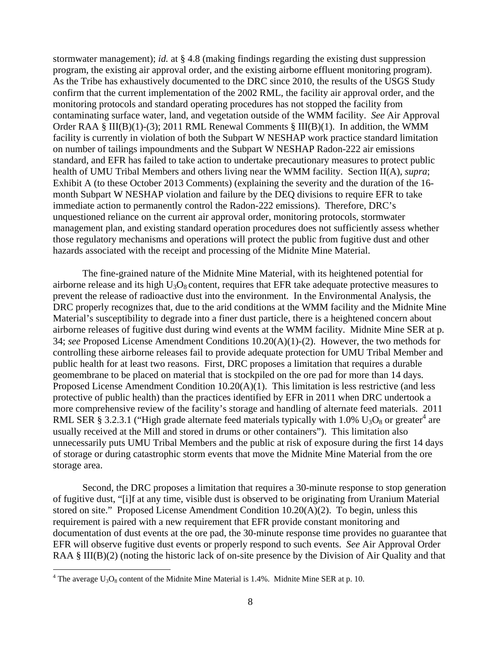stormwater management); *id.* at  $\S$  4.8 (making findings regarding the existing dust suppression program, the existing air approval order, and the existing airborne effluent monitoring program). As the Tribe has exhaustively documented to the DRC since 2010, the results of the USGS Study confirm that the current implementation of the 2002 RML, the facility air approval order, and the monitoring protocols and standard operating procedures has not stopped the facility from contaminating surface water, land, and vegetation outside of the WMM facility. *See* Air Approval Order RAA § III(B)(1)-(3); 2011 RML Renewal Comments § III(B)(1). In addition, the WMM facility is currently in violation of both the Subpart W NESHAP work practice standard limitation on number of tailings impoundments and the Subpart W NESHAP Radon-222 air emissions standard, and EFR has failed to take action to undertake precautionary measures to protect public health of UMU Tribal Members and others living near the WMM facility. Section II(A), *supra*; Exhibit A (to these October 2013 Comments) (explaining the severity and the duration of the 16 month Subpart W NESHAP violation and failure by the DEQ divisions to require EFR to take immediate action to permanently control the Radon-222 emissions). Therefore, DRC's unquestioned reliance on the current air approval order, monitoring protocols, stormwater management plan, and existing standard operation procedures does not sufficiently assess whether those regulatory mechanisms and operations will protect the public from fugitive dust and other hazards associated with the receipt and processing of the Midnite Mine Material.

 The fine-grained nature of the Midnite Mine Material, with its heightened potential for airborne release and its high  $U_3O_8$  content, requires that EFR take adequate protective measures to prevent the release of radioactive dust into the environment. In the Environmental Analysis, the DRC properly recognizes that, due to the arid conditions at the WMM facility and the Midnite Mine Material's susceptibility to degrade into a finer dust particle, there is a heightened concern about airborne releases of fugitive dust during wind events at the WMM facility. Midnite Mine SER at p. 34; *see* Proposed License Amendment Conditions 10.20(A)(1)-(2). However, the two methods for controlling these airborne releases fail to provide adequate protection for UMU Tribal Member and public health for at least two reasons. First, DRC proposes a limitation that requires a durable geomembrane to be placed on material that is stockpiled on the ore pad for more than 14 days*.* Proposed License Amendment Condition 10.20(A)(1). This limitation is less restrictive (and less protective of public health) than the practices identified by EFR in 2011 when DRC undertook a more comprehensive review of the facility's storage and handling of alternate feed materials. 2011 RML SER § 3.2.3.1 ("High grade alternate feed materials typically with 1.0%  $U_3O_8$  or greater<sup>4</sup> are usually received at the Mill and stored in drums or other containers"). This limitation also unnecessarily puts UMU Tribal Members and the public at risk of exposure during the first 14 days of storage or during catastrophic storm events that move the Midnite Mine Material from the ore storage area.

 Second, the DRC proposes a limitation that requires a 30-minute response to stop generation of fugitive dust, "[i]f at any time, visible dust is observed to be originating from Uranium Material stored on site." Proposed License Amendment Condition 10.20(A)(2). To begin, unless this requirement is paired with a new requirement that EFR provide constant monitoring and documentation of dust events at the ore pad, the 30-minute response time provides no guarantee that EFR will observe fugitive dust events or properly respond to such events. *See* Air Approval Order RAA § III(B)(2) (noting the historic lack of on-site presence by the Division of Air Quality and that

<sup>&</sup>lt;sup>4</sup> The average  $U_3O_8$  content of the Midnite Mine Material is 1.4%. Midnite Mine SER at p. 10.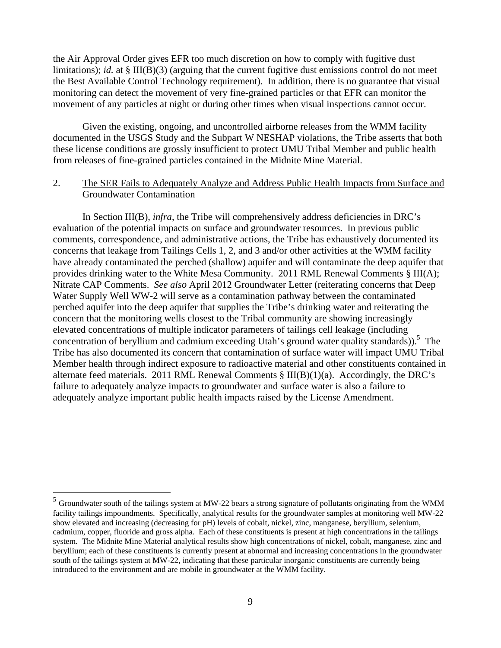the Air Approval Order gives EFR too much discretion on how to comply with fugitive dust limitations); *id.* at § III(B)(3) (arguing that the current fugitive dust emissions control do not meet the Best Available Control Technology requirement). In addition, there is no guarantee that visual monitoring can detect the movement of very fine-grained particles or that EFR can monitor the movement of any particles at night or during other times when visual inspections cannot occur.

Given the existing, ongoing, and uncontrolled airborne releases from the WMM facility documented in the USGS Study and the Subpart W NESHAP violations, the Tribe asserts that both these license conditions are grossly insufficient to protect UMU Tribal Member and public health from releases of fine-grained particles contained in the Midnite Mine Material.

#### 2. The SER Fails to Adequately Analyze and Address Public Health Impacts from Surface and Groundwater Contamination

 In Section III(B), *infra*, the Tribe will comprehensively address deficiencies in DRC's evaluation of the potential impacts on surface and groundwater resources. In previous public comments, correspondence, and administrative actions, the Tribe has exhaustively documented its concerns that leakage from Tailings Cells 1, 2, and 3 and/or other activities at the WMM facility have already contaminated the perched (shallow) aquifer and will contaminate the deep aquifer that provides drinking water to the White Mesa Community. 2011 RML Renewal Comments § III(A); Nitrate CAP Comments. *See also* April 2012 Groundwater Letter (reiterating concerns that Deep Water Supply Well WW-2 will serve as a contamination pathway between the contaminated perched aquifer into the deep aquifer that supplies the Tribe's drinking water and reiterating the concern that the monitoring wells closest to the Tribal community are showing increasingly elevated concentrations of multiple indicator parameters of tailings cell leakage (including concentration of beryllium and cadmium exceeding Utah's ground water quality standards)).<sup>5</sup> The Tribe has also documented its concern that contamination of surface water will impact UMU Tribal Member health through indirect exposure to radioactive material and other constituents contained in alternate feed materials. 2011 RML Renewal Comments § III(B)(1)(a). Accordingly, the DRC's failure to adequately analyze impacts to groundwater and surface water is also a failure to adequately analyze important public health impacts raised by the License Amendment.

<sup>5</sup> Groundwater south of the tailings system at MW-22 bears a strong signature of pollutants originating from the WMM facility tailings impoundments. Specifically, analytical results for the groundwater samples at monitoring well MW-22 show elevated and increasing (decreasing for pH) levels of cobalt, nickel, zinc, manganese, beryllium, selenium, cadmium, copper, fluoride and gross alpha. Each of these constituents is present at high concentrations in the tailings system. The Midnite Mine Material analytical results show high concentrations of nickel, cobalt, manganese, zinc and beryllium; each of these constituents is currently present at abnormal and increasing concentrations in the groundwater south of the tailings system at MW-22, indicating that these particular inorganic constituents are currently being introduced to the environment and are mobile in groundwater at the WMM facility.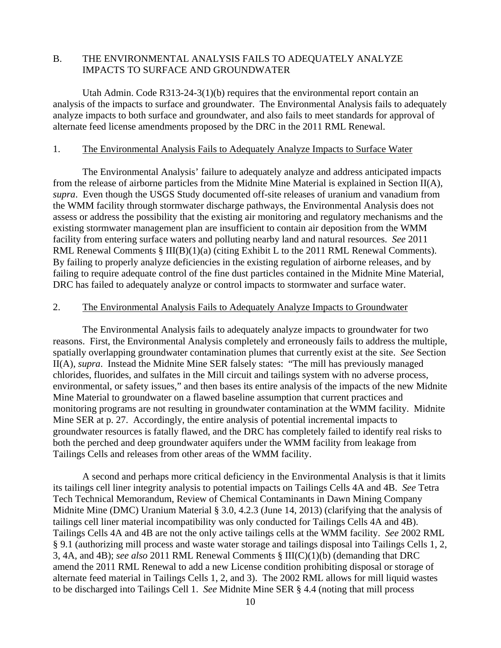# B. THE ENVIRONMENTAL ANALYSIS FAILS TO ADEQUATELY ANALYZE IMPACTS TO SURFACE AND GROUNDWATER

Utah Admin. Code R313-24-3(1)(b) requires that the environmental report contain an analysis of the impacts to surface and groundwater. The Environmental Analysis fails to adequately analyze impacts to both surface and groundwater, and also fails to meet standards for approval of alternate feed license amendments proposed by the DRC in the 2011 RML Renewal.

#### 1. The Environmental Analysis Fails to Adequately Analyze Impacts to Surface Water

The Environmental Analysis' failure to adequately analyze and address anticipated impacts from the release of airborne particles from the Midnite Mine Material is explained in Section II(A), *supra*. Even though the USGS Study documented off-site releases of uranium and vanadium from the WMM facility through stormwater discharge pathways, the Environmental Analysis does not assess or address the possibility that the existing air monitoring and regulatory mechanisms and the existing stormwater management plan are insufficient to contain air deposition from the WMM facility from entering surface waters and polluting nearby land and natural resources. *See* 2011 RML Renewal Comments § III(B)(1)(a) (citing Exhibit L to the 2011 RML Renewal Comments). By failing to properly analyze deficiencies in the existing regulation of airborne releases, and by failing to require adequate control of the fine dust particles contained in the Midnite Mine Material, DRC has failed to adequately analyze or control impacts to stormwater and surface water.

#### 2. The Environmental Analysis Fails to Adequately Analyze Impacts to Groundwater

The Environmental Analysis fails to adequately analyze impacts to groundwater for two reasons. First, the Environmental Analysis completely and erroneously fails to address the multiple, spatially overlapping groundwater contamination plumes that currently exist at the site. *See* Section II(A), *supra*. Instead the Midnite Mine SER falsely states: "The mill has previously managed chlorides, fluorides, and sulfates in the Mill circuit and tailings system with no adverse process, environmental, or safety issues," and then bases its entire analysis of the impacts of the new Midnite Mine Material to groundwater on a flawed baseline assumption that current practices and monitoring programs are not resulting in groundwater contamination at the WMM facility. Midnite Mine SER at p. 27. Accordingly, the entire analysis of potential incremental impacts to groundwater resources is fatally flawed, and the DRC has completely failed to identify real risks to both the perched and deep groundwater aquifers under the WMM facility from leakage from Tailings Cells and releases from other areas of the WMM facility.

A second and perhaps more critical deficiency in the Environmental Analysis is that it limits its tailings cell liner integrity analysis to potential impacts on Tailings Cells 4A and 4B. *See* Tetra Tech Technical Memorandum, Review of Chemical Contaminants in Dawn Mining Company Midnite Mine (DMC) Uranium Material § 3.0, 4.2.3 (June 14, 2013) (clarifying that the analysis of tailings cell liner material incompatibility was only conducted for Tailings Cells 4A and 4B). Tailings Cells 4A and 4B are not the only active tailings cells at the WMM facility. *See* 2002 RML § 9.1 (authorizing mill process and waste water storage and tailings disposal into Tailings Cells 1, 2, 3, 4A, and 4B); *see also* 2011 RML Renewal Comments § III(C)(1)(b) (demanding that DRC amend the 2011 RML Renewal to add a new License condition prohibiting disposal or storage of alternate feed material in Tailings Cells 1, 2, and 3). The 2002 RML allows for mill liquid wastes to be discharged into Tailings Cell 1. *See* Midnite Mine SER § 4.4 (noting that mill process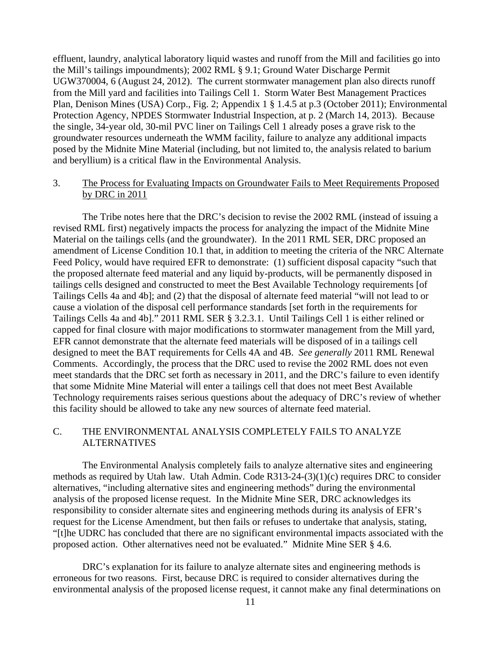effluent, laundry, analytical laboratory liquid wastes and runoff from the Mill and facilities go into the Mill's tailings impoundments); 2002 RML § 9.1; Ground Water Discharge Permit UGW370004, 6 (August 24, 2012). The current stormwater management plan also directs runoff from the Mill yard and facilities into Tailings Cell 1. Storm Water Best Management Practices Plan, Denison Mines (USA) Corp., Fig. 2; Appendix 1 § 1.4.5 at p.3 (October 2011); Environmental Protection Agency, NPDES Stormwater Industrial Inspection, at p. 2 (March 14, 2013). Because the single, 34-year old, 30-mil PVC liner on Tailings Cell 1 already poses a grave risk to the groundwater resources underneath the WMM facility, failure to analyze any additional impacts posed by the Midnite Mine Material (including, but not limited to, the analysis related to barium and beryllium) is a critical flaw in the Environmental Analysis.

#### 3. The Process for Evaluating Impacts on Groundwater Fails to Meet Requirements Proposed by DRC in 2011

The Tribe notes here that the DRC's decision to revise the 2002 RML (instead of issuing a revised RML first) negatively impacts the process for analyzing the impact of the Midnite Mine Material on the tailings cells (and the groundwater). In the 2011 RML SER, DRC proposed an amendment of License Condition 10.1 that, in addition to meeting the criteria of the NRC Alternate Feed Policy, would have required EFR to demonstrate: (1) sufficient disposal capacity "such that the proposed alternate feed material and any liquid by-products, will be permanently disposed in tailings cells designed and constructed to meet the Best Available Technology requirements [of Tailings Cells 4a and 4b]; and (2) that the disposal of alternate feed material "will not lead to or cause a violation of the disposal cell performance standards [set forth in the requirements for Tailings Cells 4a and 4b]." 2011 RML SER § 3.2.3.1. Until Tailings Cell 1 is either relined or capped for final closure with major modifications to stormwater management from the Mill yard, EFR cannot demonstrate that the alternate feed materials will be disposed of in a tailings cell designed to meet the BAT requirements for Cells 4A and 4B. *See generally* 2011 RML Renewal Comments. Accordingly, the process that the DRC used to revise the 2002 RML does not even meet standards that the DRC set forth as necessary in 2011, and the DRC's failure to even identify that some Midnite Mine Material will enter a tailings cell that does not meet Best Available Technology requirements raises serious questions about the adequacy of DRC's review of whether this facility should be allowed to take any new sources of alternate feed material.

# C. THE ENVIRONMENTAL ANALYSIS COMPLETELY FAILS TO ANALYZE ALTERNATIVES

 The Environmental Analysis completely fails to analyze alternative sites and engineering methods as required by Utah law. Utah Admin. Code R313-24-(3)(1)(c) requires DRC to consider alternatives, "including alternative sites and engineering methods" during the environmental analysis of the proposed license request. In the Midnite Mine SER, DRC acknowledges its responsibility to consider alternate sites and engineering methods during its analysis of EFR's request for the License Amendment, but then fails or refuses to undertake that analysis, stating, "[t]he UDRC has concluded that there are no significant environmental impacts associated with the proposed action. Other alternatives need not be evaluated." Midnite Mine SER § 4.6.

DRC's explanation for its failure to analyze alternate sites and engineering methods is erroneous for two reasons. First, because DRC is required to consider alternatives during the environmental analysis of the proposed license request, it cannot make any final determinations on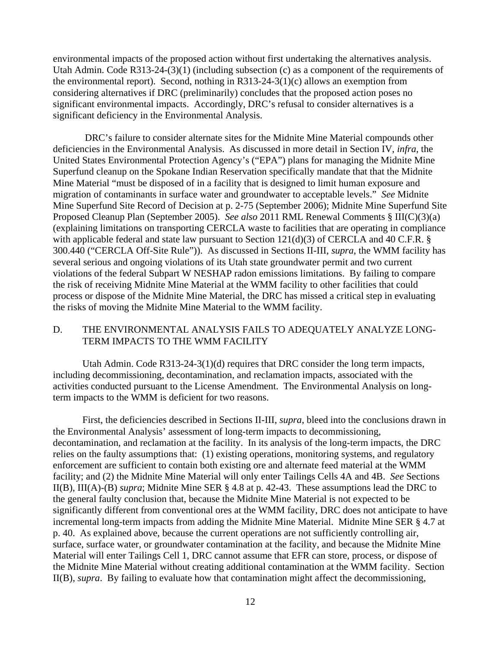environmental impacts of the proposed action without first undertaking the alternatives analysis. Utah Admin. Code R313-24-(3)(1) (including subsection (c) as a component of the requirements of the environmental report). Second, nothing in R313-24-3(1)(c) allows an exemption from considering alternatives if DRC (preliminarily) concludes that the proposed action poses no significant environmental impacts. Accordingly, DRC's refusal to consider alternatives is a significant deficiency in the Environmental Analysis.

 DRC's failure to consider alternate sites for the Midnite Mine Material compounds other deficiencies in the Environmental Analysis. As discussed in more detail in Section IV, *infra*, the United States Environmental Protection Agency's ("EPA") plans for managing the Midnite Mine Superfund cleanup on the Spokane Indian Reservation specifically mandate that that the Midnite Mine Material "must be disposed of in a facility that is designed to limit human exposure and migration of contaminants in surface water and groundwater to acceptable levels." *See* Midnite Mine Superfund Site Record of Decision at p. 2-75 (September 2006); Midnite Mine Superfund Site Proposed Cleanup Plan (September 2005). *See also* 2011 RML Renewal Comments § III(C)(3)(a) (explaining limitations on transporting CERCLA waste to facilities that are operating in compliance with applicable federal and state law pursuant to Section  $121(d)(3)$  of CERCLA and 40 C.F.R. § 300.440 ("CERCLA Off-Site Rule")). As discussed in Sections II-III, *supra*, the WMM facility has several serious and ongoing violations of its Utah state groundwater permit and two current violations of the federal Subpart W NESHAP radon emissions limitations. By failing to compare the risk of receiving Midnite Mine Material at the WMM facility to other facilities that could process or dispose of the Midnite Mine Material, the DRC has missed a critical step in evaluating the risks of moving the Midnite Mine Material to the WMM facility.

### D. THE ENVIRONMENTAL ANALYSIS FAILS TO ADEQUATELY ANALYZE LONG-TERM IMPACTS TO THE WMM FACILITY

 Utah Admin. Code R313-24-3(1)(d) requires that DRC consider the long term impacts, including decommissioning, decontamination, and reclamation impacts, associated with the activities conducted pursuant to the License Amendment. The Environmental Analysis on longterm impacts to the WMM is deficient for two reasons.

First, the deficiencies described in Sections II-III, *supra*, bleed into the conclusions drawn in the Environmental Analysis' assessment of long-term impacts to decommissioning, decontamination, and reclamation at the facility. In its analysis of the long-term impacts, the DRC relies on the faulty assumptions that: (1) existing operations, monitoring systems, and regulatory enforcement are sufficient to contain both existing ore and alternate feed material at the WMM facility; and (2) the Midnite Mine Material will only enter Tailings Cells 4A and 4B. *See* Sections II(B), III(A)-(B) *supra*; Midnite Mine SER § 4.8 at p. 42-43. These assumptions lead the DRC to the general faulty conclusion that, because the Midnite Mine Material is not expected to be significantly different from conventional ores at the WMM facility, DRC does not anticipate to have incremental long-term impacts from adding the Midnite Mine Material. Midnite Mine SER § 4.7 at p. 40. As explained above, because the current operations are not sufficiently controlling air, surface, surface water, or groundwater contamination at the facility, and because the Midnite Mine Material will enter Tailings Cell 1, DRC cannot assume that EFR can store, process, or dispose of the Midnite Mine Material without creating additional contamination at the WMM facility. Section II(B), *supra*. By failing to evaluate how that contamination might affect the decommissioning,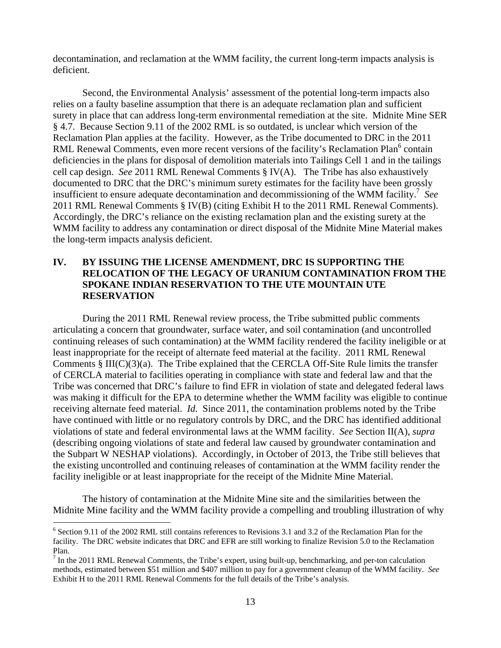decontamination, and reclamation at the WMM facility, the current long-term impacts analysis is deficient.

Second, the Environmental Analysis' assessment of the potential long-term impacts also relies on a faulty baseline assumption that there is an adequate reclamation plan and sufficient surety in place that can address long-term environmental remediation at the site. Midnite Mine SER § 4.7. Because Section 9.11 of the 2002 RML is so outdated, is unclear which version of the Reclamation Plan applies at the facility. However, as the Tribe documented to DRC in the 2011 RML Renewal Comments, even more recent versions of the facility's Reclamation Plan<sup>6</sup> contain deficiencies in the plans for disposal of demolition materials into Tailings Cell 1 and in the tailings cell cap design. *See* 2011 RML Renewal Comments § IV(A). The Tribe has also exhaustively documented to DRC that the DRC's minimum surety estimates for the facility have been grossly insufficient to ensure adequate decontamination and decommissioning of the WMM facility.7 *See* 2011 RML Renewal Comments § IV(B) (citing Exhibit H to the 2011 RML Renewal Comments). Accordingly, the DRC's reliance on the existing reclamation plan and the existing surety at the WMM facility to address any contamination or direct disposal of the Midnite Mine Material makes the long-term impacts analysis deficient.

# **IV. BY ISSUING THE LICENSE AMENDMENT, DRC IS SUPPORTING THE RELOCATION OF THE LEGACY OF URANIUM CONTAMINATION FROM THE SPOKANE INDIAN RESERVATION TO THE UTE MOUNTAIN UTE RESERVATION**

During the 2011 RML Renewal review process, the Tribe submitted public comments articulating a concern that groundwater, surface water, and soil contamination (and uncontrolled continuing releases of such contamination) at the WMM facility rendered the facility ineligible or at least inappropriate for the receipt of alternate feed material at the facility. 2011 RML Renewal Comments § III(C)(3)(a). The Tribe explained that the CERCLA Off-Site Rule limits the transfer of CERCLA material to facilities operating in compliance with state and federal law and that the Tribe was concerned that DRC's failure to find EFR in violation of state and delegated federal laws was making it difficult for the EPA to determine whether the WMM facility was eligible to continue receiving alternate feed material. *Id.* Since 2011, the contamination problems noted by the Tribe have continued with little or no regulatory controls by DRC, and the DRC has identified additional violations of state and federal environmental laws at the WMM facility. *See* Section II(A), *supra* (describing ongoing violations of state and federal law caused by groundwater contamination and the Subpart W NESHAP violations). Accordingly, in October of 2013, the Tribe still believes that the existing uncontrolled and continuing releases of contamination at the WMM facility render the facility ineligible or at least inappropriate for the receipt of the Midnite Mine Material.

 The history of contamination at the Midnite Mine site and the similarities between the Midnite Mine facility and the WMM facility provide a compelling and troubling illustration of why

<sup>&</sup>lt;sup>6</sup> Section 9.11 of the 2002 RML still contains references to Revisions 3.1 and 3.2 of the Reclamation Plan for the facility. The DRC website indicates that DRC and EFR are still working to finalize Revision 5.0 to the Reclamation Plan.

 $<sup>7</sup>$  In the 2011 RML Renewal Comments, the Tribe's expert, using built-up, benchmarking, and per-ton calculation</sup> methods, estimated between \$51 million and \$407 million to pay for a government cleanup of the WMM facility. *See* Exhibit H to the 2011 RML Renewal Comments for the full details of the Tribe's analysis.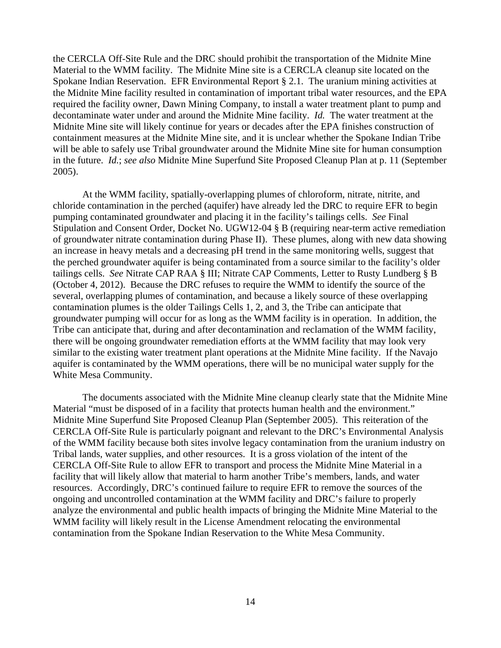the CERCLA Off-Site Rule and the DRC should prohibit the transportation of the Midnite Mine Material to the WMM facility. The Midnite Mine site is a CERCLA cleanup site located on the Spokane Indian Reservation. EFR Environmental Report § 2.1. The uranium mining activities at the Midnite Mine facility resulted in contamination of important tribal water resources, and the EPA required the facility owner, Dawn Mining Company, to install a water treatment plant to pump and decontaminate water under and around the Midnite Mine facility. *Id.* The water treatment at the Midnite Mine site will likely continue for years or decades after the EPA finishes construction of containment measures at the Midnite Mine site, and it is unclear whether the Spokane Indian Tribe will be able to safely use Tribal groundwater around the Midnite Mine site for human consumption in the future. *Id.*; *see also* Midnite Mine Superfund Site Proposed Cleanup Plan at p. 11 (September 2005).

At the WMM facility, spatially-overlapping plumes of chloroform, nitrate, nitrite, and chloride contamination in the perched (aquifer) have already led the DRC to require EFR to begin pumping contaminated groundwater and placing it in the facility's tailings cells. *See* Final Stipulation and Consent Order, Docket No. UGW12-04 § B (requiring near-term active remediation of groundwater nitrate contamination during Phase II). These plumes, along with new data showing an increase in heavy metals and a decreasing pH trend in the same monitoring wells, suggest that the perched groundwater aquifer is being contaminated from a source similar to the facility's older tailings cells. *See* Nitrate CAP RAA § III; Nitrate CAP Comments, Letter to Rusty Lundberg § B (October 4, 2012). Because the DRC refuses to require the WMM to identify the source of the several, overlapping plumes of contamination, and because a likely source of these overlapping contamination plumes is the older Tailings Cells 1, 2, and 3, the Tribe can anticipate that groundwater pumping will occur for as long as the WMM facility is in operation. In addition, the Tribe can anticipate that, during and after decontamination and reclamation of the WMM facility, there will be ongoing groundwater remediation efforts at the WMM facility that may look very similar to the existing water treatment plant operations at the Midnite Mine facility. If the Navajo aquifer is contaminated by the WMM operations, there will be no municipal water supply for the White Mesa Community.

 The documents associated with the Midnite Mine cleanup clearly state that the Midnite Mine Material "must be disposed of in a facility that protects human health and the environment." Midnite Mine Superfund Site Proposed Cleanup Plan (September 2005). This reiteration of the CERCLA Off-Site Rule is particularly poignant and relevant to the DRC's Environmental Analysis of the WMM facility because both sites involve legacy contamination from the uranium industry on Tribal lands, water supplies, and other resources. It is a gross violation of the intent of the CERCLA Off-Site Rule to allow EFR to transport and process the Midnite Mine Material in a facility that will likely allow that material to harm another Tribe's members, lands, and water resources. Accordingly, DRC's continued failure to require EFR to remove the sources of the ongoing and uncontrolled contamination at the WMM facility and DRC's failure to properly analyze the environmental and public health impacts of bringing the Midnite Mine Material to the WMM facility will likely result in the License Amendment relocating the environmental contamination from the Spokane Indian Reservation to the White Mesa Community.